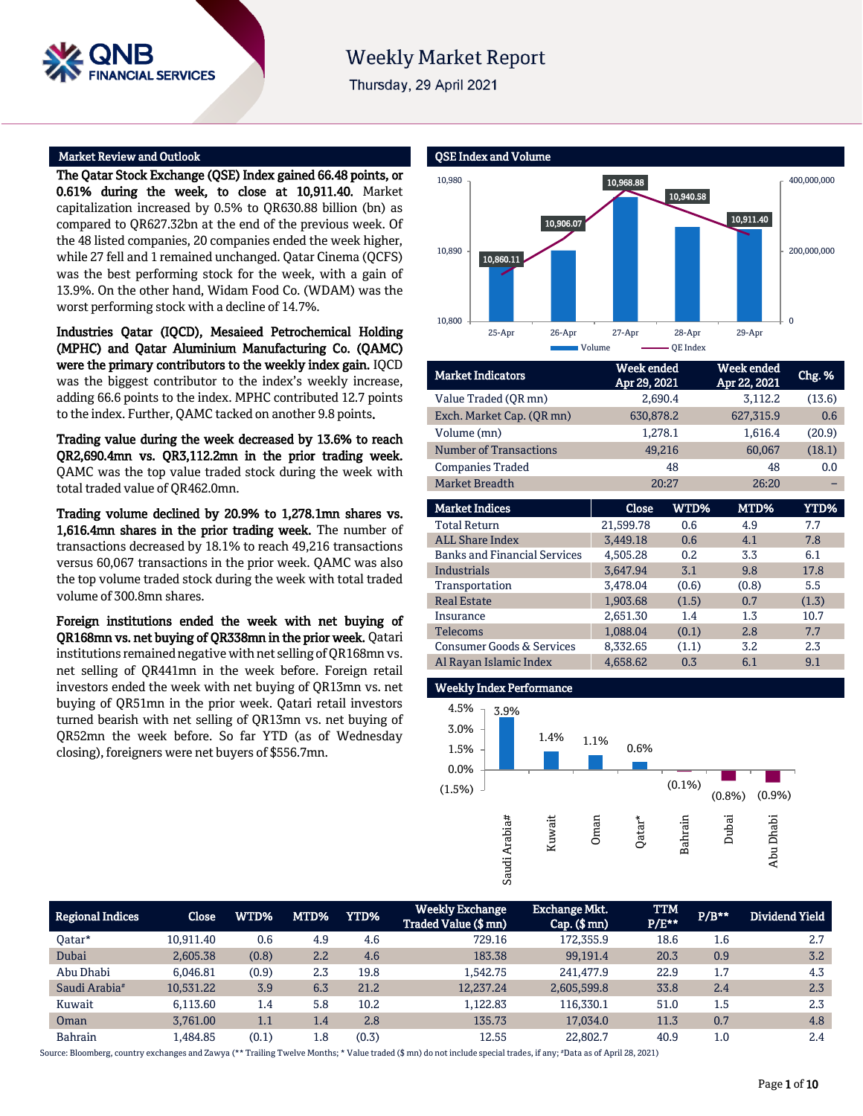# **Weekly Market Report**

Thursday, 29 April 2021

#### Market Review and Outlook

**SERVICES** 

The Qatar Stock Exchange (QSE) Index gained 66.48 points, or 0.61% during the week, to close at 10,911.40. Market capitalization increased by 0.5% to QR630.88 billion (bn) as compared to QR627.32bn at the end of the previous week. Of the 48 listed companies, 20 companies ended the week higher, while 27 fell and 1 remained unchanged. Qatar Cinema (QCFS) was the best performing stock for the week, with a gain of 13.9%. On the other hand, Widam Food Co. (WDAM) was the worst performing stock with a decline of 14.7%.

Industries Qatar (IQCD), Mesaieed Petrochemical Holding (MPHC) and Qatar Aluminium Manufacturing Co. (QAMC) were the primary contributors to the weekly index gain. IQCD was the biggest contributor to the index's weekly increase, adding 66.6 points to the index. MPHC contributed 12.7 points to the index. Further, QAMC tacked on another 9.8 points.

Trading value during the week decreased by 13.6% to reach QR2,690.4mn vs. QR3,112.2mn in the prior trading week. QAMC was the top value traded stock during the week with total traded value of QR462.0mn.

Trading volume declined by 20.9% to 1,278.1mn shares vs. 1,616.4mn shares in the prior trading week. The number of transactions decreased by 18.1% to reach 49,216 transactions versus 60,067 transactions in the prior week. QAMC was also the top volume traded stock during the week with total traded volume of 300.8mn shares.

Foreign institutions ended the week with net buying of QR168mn vs. net buying of QR338mn in the prior week. Qatari institutions remained negative with net selling of QR168mn vs. net selling of QR441mn in the week before. Foreign retail investors ended the week with net buying of QR13mn vs. net buying of QR51mn in the prior week. Qatari retail investors turned bearish with net selling of QR13mn vs. net buying of QR52mn the week before. So far YTD (as of Wednesday closing), foreigners were net buyers of \$556.7mn.

#### QSE Index and Volume 10,860.11 10,906.07 10,968.88 10,940.58 10,911.40  $\Omega$ 200,000,000 400,000,000 10,800 10,890 10,980 25-Apr 26-Apr 27-Apr 28-Apr 29-Apr Volume **QUACE CONFIDENT** Volume

| <b>Market Indicators</b>      | Week ended<br>Apr 29, 2021 | Week ended<br>Apr 22, 2021 | Chg. % |
|-------------------------------|----------------------------|----------------------------|--------|
| Value Traded (OR mn)          | 2,690.4                    | 3,112.2                    | (13.6) |
| Exch. Market Cap. (QR mn)     | 630,878.2                  | 627,315.9                  | 0.6    |
| Volume (mn)                   | 1,278.1                    | 1,616.4                    | (20.9) |
| <b>Number of Transactions</b> | 49,216                     | 60,067                     | (18.1) |
| <b>Companies Traded</b>       | 48                         | 48                         | 0.0    |
| <b>Market Breadth</b>         | 20:27                      | 26:20                      |        |
|                               |                            |                            |        |

| <b>Market Indices</b>                | Close     | WTD%  | MTD%  | <b>YTD%</b> |
|--------------------------------------|-----------|-------|-------|-------------|
| <b>Total Return</b>                  | 21,599.78 | 0.6   | 4.9   | 7.7         |
| <b>ALL Share Index</b>               | 3,449.18  | 0.6   | 4.1   | 7.8         |
| <b>Banks and Financial Services</b>  | 4,505.28  | 0.2   | 3.3   | 6.1         |
| Industrials                          | 3,647.94  | 3.1   | 9.8   | 17.8        |
| Transportation                       | 3,478.04  | (0.6) | (0.8) | 5.5         |
| <b>Real Estate</b>                   | 1,903.68  | (1.5) | 0.7   | (1.3)       |
| Insurance                            | 2,651.30  | 1.4   | 1.3   | 10.7        |
| <b>Telecoms</b>                      | 1,088.04  | (0.1) | 2.8   | 7.7         |
| <b>Consumer Goods &amp; Services</b> | 8,332.65  | (1.1) | 3.2   | 2.3         |
| Al Rayan Islamic Index               | 4,658.62  | 0.3   | 6.1   | 9.1         |

# Weekly Index Performance



| <b>Regional Indices</b>   | Close     | WTD%  | MTD% | YTD%  | <b>Weekly Exchange</b><br>Traded Value (\$ mn) | Exchange Mkt.<br>$Cap.$ (\$ mn) | <b>TTM</b><br>$P/E***$ | $P/B***$ | Dividend Yield |
|---------------------------|-----------|-------|------|-------|------------------------------------------------|---------------------------------|------------------------|----------|----------------|
| Oatar*                    | 10.911.40 | 0.6   | 4.9  | 4.6   | 729.16                                         | 172,355.9                       | 18.6                   | 1.6      | 2.7            |
| Dubai                     | 2,605.38  | (0.8) | 2.2  | 4.6   | 183.38                                         | 99,191.4                        | 20.3                   | 0.9      | 3.2            |
| Abu Dhabi                 | 6.046.81  | (0.9) | 2.3  | 19.8  | 1.542.75                                       | 241.477.9                       | 22.9                   | 1.7      | 4.3            |
| Saudi Arabia <sup>#</sup> | 10.531.22 | 3.9   | 6.3  | 21.2  | 12.237.24                                      | 2.605.599.8                     | 33.8                   | 2.4      | 2.3            |
| Kuwait                    | 6.113.60  | 1.4   | 5.8  | 10.2  | 1,122.83                                       | 116.330.1                       | 51.0                   | 1.5      | 2.3            |
| Oman                      | 3.761.00  | 1.1   | 1.4  | 2.8   | 135.73                                         | 17.034.0                        | 11.3                   | 0.7      | 4.8            |
| Bahrain                   | .484.85   | (0.1) | 1.8  | (0.3) | 12.55                                          | 22,802.7                        | 40.9                   | 1.0      | 2.4            |

Source: Bloomberg, country exchanges and Zawya (\*\* Trailing Twelve Months; \* Value traded (\$ mn) do not include special trades, if any; #Data as of April 28, 2021)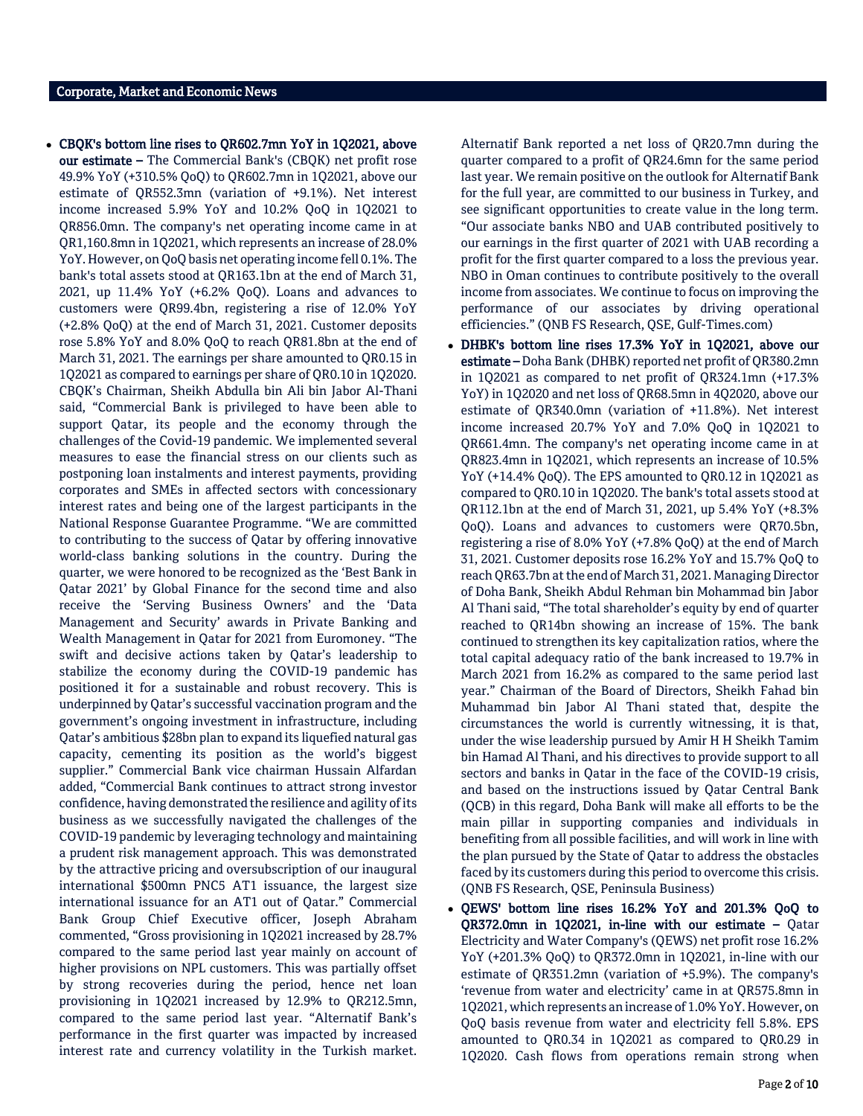CBQK's bottom line rises to QR602.7mn YoY in 1Q2021, above our estimate – The Commercial Bank's (CBQK) net profit rose 49.9% YoY (+310.5% QoQ) to QR602.7mn in 1Q2021, above our estimate of QR552.3mn (variation of +9.1%). Net interest income increased 5.9% YoY and 10.2% QoQ in 1Q2021 to QR856.0mn. The company's net operating income came in at QR1,160.8mn in 1Q2021, which represents an increase of 28.0% YoY. However, on QoQ basis net operating income fell 0.1%. The bank's total assets stood at QR163.1bn at the end of March 31, 2021, up 11.4% YoY (+6.2% QoQ). Loans and advances to customers were QR99.4bn, registering a rise of 12.0% YoY (+2.8% QoQ) at the end of March 31, 2021. Customer deposits rose 5.8% YoY and 8.0% QoQ to reach QR81.8bn at the end of March 31, 2021. The earnings per share amounted to QR0.15 in 1Q2021 as compared to earnings per share of QR0.10 in 1Q2020. CBQK's Chairman, Sheikh Abdulla bin Ali bin Jabor Al-Thani said, "Commercial Bank is privileged to have been able to support Qatar, its people and the economy through the challenges of the Covid-19 pandemic. We implemented several measures to ease the financial stress on our clients such as postponing loan instalments and interest payments, providing corporates and SMEs in affected sectors with concessionary interest rates and being one of the largest participants in the National Response Guarantee Programme. "We are committed to contributing to the success of Qatar by offering innovative world-class banking solutions in the country. During the quarter, we were honored to be recognized as the 'Best Bank in Qatar 2021' by Global Finance for the second time and also receive the 'Serving Business Owners' and the 'Data Management and Security' awards in Private Banking and Wealth Management in Qatar for 2021 from Euromoney. "The swift and decisive actions taken by Qatar's leadership to stabilize the economy during the COVID-19 pandemic has positioned it for a sustainable and robust recovery. This is underpinned by Qatar's successful vaccination program and the government's ongoing investment in infrastructure, including Qatar's ambitious \$28bn plan to expand its liquefied natural gas capacity, cementing its position as the world's biggest supplier." Commercial Bank vice chairman Hussain Alfardan added, "Commercial Bank continues to attract strong investor confidence, having demonstrated the resilience and agility of its business as we successfully navigated the challenges of the COVID-19 pandemic by leveraging technology and maintaining a prudent risk management approach. This was demonstrated by the attractive pricing and oversubscription of our inaugural international \$500mn PNC5 AT1 issuance, the largest size international issuance for an AT1 out of Qatar." Commercial Bank Group Chief Executive officer, Joseph Abraham commented, "Gross provisioning in 1Q2021 increased by 28.7% compared to the same period last year mainly on account of higher provisions on NPL customers. This was partially offset by strong recoveries during the period, hence net loan provisioning in 1Q2021 increased by 12.9% to QR212.5mn, compared to the same period last year. "Alternatif Bank's performance in the first quarter was impacted by increased interest rate and currency volatility in the Turkish market.

Alternatif Bank reported a net loss of QR20.7mn during the quarter compared to a profit of QR24.6mn for the same period last year. We remain positive on the outlook for Alternatif Bank for the full year, are committed to our business in Turkey, and see significant opportunities to create value in the long term. "Our associate banks NBO and UAB contributed positively to our earnings in the first quarter of 2021 with UAB recording a profit for the first quarter compared to a loss the previous year. NBO in Oman continues to contribute positively to the overall income from associates. We continue to focus on improving the performance of our associates by driving operational efficiencies." (QNB FS Research, QSE, Gulf-Times.com)

- DHBK's bottom line rises 17.3% YoY in 1Q2021, above our estimate – Doha Bank (DHBK) reported net profit of QR380.2mn in 1Q2021 as compared to net profit of QR324.1mn (+17.3% YoY) in 1Q2020 and net loss of QR68.5mn in 4Q2020, above our estimate of QR340.0mn (variation of +11.8%). Net interest income increased 20.7% YoY and 7.0% QoQ in 1Q2021 to QR661.4mn. The company's net operating income came in at QR823.4mn in 1Q2021, which represents an increase of 10.5% YoY (+14.4% QoQ). The EPS amounted to QR0.12 in 1Q2021 as compared to QR0.10 in 1Q2020. The bank's total assets stood at QR112.1bn at the end of March 31, 2021, up 5.4% YoY (+8.3% QoQ). Loans and advances to customers were QR70.5bn, registering a rise of 8.0% YoY (+7.8% QoQ) at the end of March 31, 2021. Customer deposits rose 16.2% YoY and 15.7% QoQ to reach QR63.7bn at the end of March 31, 2021. Managing Director of Doha Bank, Sheikh Abdul Rehman bin Mohammad bin Jabor Al Thani said, "The total shareholder's equity by end of quarter reached to QR14bn showing an increase of 15%. The bank continued to strengthen its key capitalization ratios, where the total capital adequacy ratio of the bank increased to 19.7% in March 2021 from 16.2% as compared to the same period last year." Chairman of the Board of Directors, Sheikh Fahad bin Muhammad bin Jabor Al Thani stated that, despite the circumstances the world is currently witnessing, it is that, under the wise leadership pursued by Amir H H Sheikh Tamim bin Hamad Al Thani, and his directives to provide support to all sectors and banks in Qatar in the face of the COVID-19 crisis, and based on the instructions issued by Qatar Central Bank (QCB) in this regard, Doha Bank will make all efforts to be the main pillar in supporting companies and individuals in benefiting from all possible facilities, and will work in line with the plan pursued by the State of Qatar to address the obstacles faced by its customers during this period to overcome this crisis. (QNB FS Research, QSE, Peninsula Business)
- QEWS' bottom line rises 16.2% YoY and 201.3% QoQ to QR372.0mn in 1Q2021, in-line with our estimate – Qatar Electricity and Water Company's (QEWS) net profit rose 16.2% YoY (+201.3% QoQ) to QR372.0mn in 1Q2021, in-line with our estimate of QR351.2mn (variation of +5.9%). The company's 'revenue from water and electricity' came in at QR575.8mn in 1Q2021, which represents an increase of 1.0% YoY. However, on QoQ basis revenue from water and electricity fell 5.8%. EPS amounted to QR0.34 in 1Q2021 as compared to QR0.29 in 1Q2020. Cash flows from operations remain strong when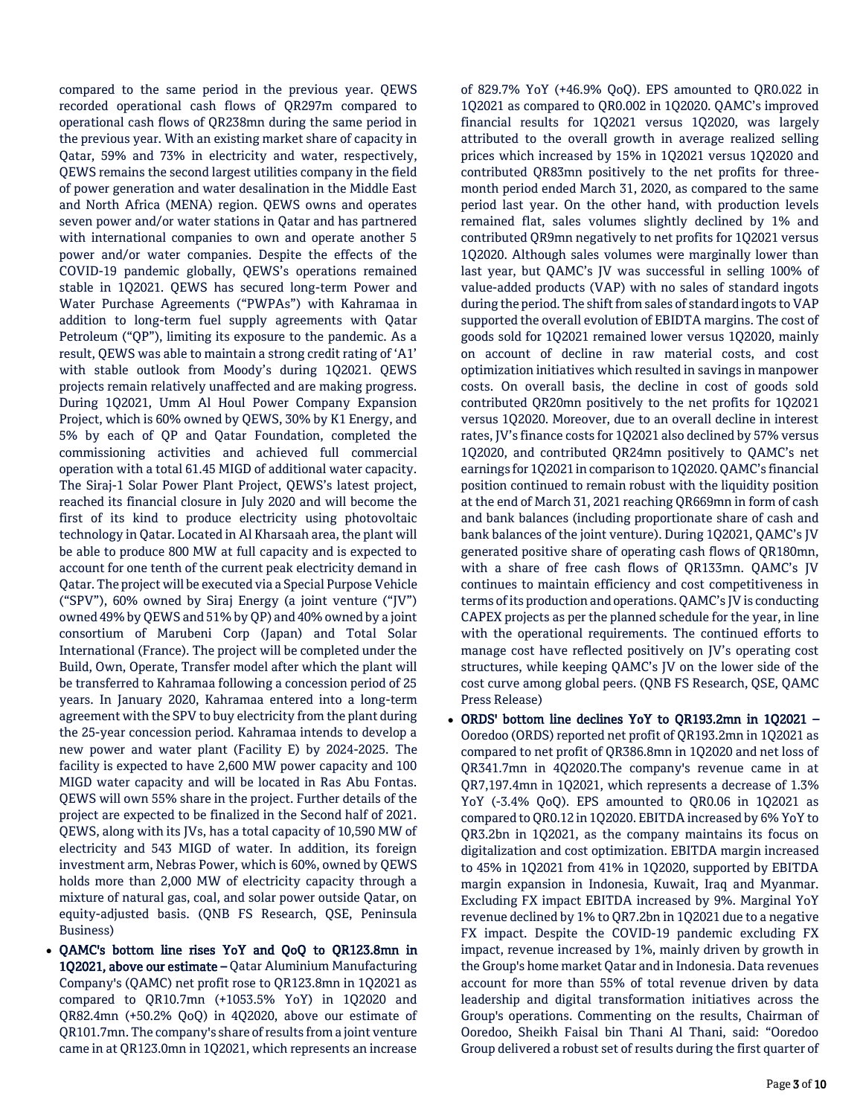compared to the same period in the previous year. QEWS recorded operational cash flows of QR297m compared to operational cash flows of QR238mn during the same period in the previous year. With an existing market share of capacity in Qatar, 59% and 73% in electricity and water, respectively, QEWS remains the second largest utilities company in the field of power generation and water desalination in the Middle East and North Africa (MENA) region. QEWS owns and operates seven power and/or water stations in Qatar and has partnered with international companies to own and operate another 5 power and/or water companies. Despite the effects of the COVID-19 pandemic globally, QEWS's operations remained stable in 1Q2021. QEWS has secured long-term Power and Water Purchase Agreements ("PWPAs") with Kahramaa in addition to long-term fuel supply agreements with Qatar Petroleum ("QP"), limiting its exposure to the pandemic. As a result, QEWS was able to maintain a strong credit rating of 'A1' with stable outlook from Moody's during 1Q2021. QEWS projects remain relatively unaffected and are making progress. During 1Q2021, Umm Al Houl Power Company Expansion Project, which is 60% owned by QEWS, 30% by K1 Energy, and 5% by each of QP and Qatar Foundation, completed the commissioning activities and achieved full commercial operation with a total 61.45 MIGD of additional water capacity. The Siraj-1 Solar Power Plant Project, QEWS's latest project, reached its financial closure in July 2020 and will become the first of its kind to produce electricity using photovoltaic technology in Qatar. Located in Al Kharsaah area, the plant will be able to produce 800 MW at full capacity and is expected to account for one tenth of the current peak electricity demand in Qatar. The project will be executed via a Special Purpose Vehicle ("SPV"), 60% owned by Siraj Energy (a joint venture ("JV") owned 49% by QEWS and 51% by QP) and 40% owned by a joint consortium of Marubeni Corp (Japan) and Total Solar International (France). The project will be completed under the Build, Own, Operate, Transfer model after which the plant will be transferred to Kahramaa following a concession period of 25 years. In January 2020, Kahramaa entered into a long-term agreement with the SPV to buy electricity from the plant during the 25-year concession period. Kahramaa intends to develop a new power and water plant (Facility E) by 2024-2025. The facility is expected to have 2,600 MW power capacity and 100 MIGD water capacity and will be located in Ras Abu Fontas. QEWS will own 55% share in the project. Further details of the project are expected to be finalized in the Second half of 2021. QEWS, along with its JVs, has a total capacity of 10,590 MW of electricity and 543 MIGD of water. In addition, its foreign investment arm, Nebras Power, which is 60%, owned by QEWS holds more than 2,000 MW of electricity capacity through a mixture of natural gas, coal, and solar power outside Qatar, on equity-adjusted basis. (QNB FS Research, QSE, Peninsula Business)

 QAMC's bottom line rises YoY and QoQ to QR123.8mn in 1Q2021, above our estimate – Qatar Aluminium Manufacturing Company's (QAMC) net profit rose to QR123.8mn in 1Q2021 as compared to QR10.7mn (+1053.5% YoY) in 1Q2020 and QR82.4mn (+50.2% QoQ) in 4Q2020, above our estimate of QR101.7mn. The company's share of results from a joint venture came in at QR123.0mn in 1Q2021, which represents an increase

of 829.7% YoY (+46.9% QoQ). EPS amounted to QR0.022 in 1Q2021 as compared to QR0.002 in 1Q2020. QAMC's improved financial results for 1Q2021 versus 1Q2020, was largely attributed to the overall growth in average realized selling prices which increased by 15% in 1Q2021 versus 1Q2020 and contributed QR83mn positively to the net profits for threemonth period ended March 31, 2020, as compared to the same period last year. On the other hand, with production levels remained flat, sales volumes slightly declined by 1% and contributed QR9mn negatively to net profits for 1Q2021 versus 1Q2020. Although sales volumes were marginally lower than last year, but QAMC's JV was successful in selling 100% of value-added products (VAP) with no sales of standard ingots during the period. The shift from sales of standard ingots to VAP supported the overall evolution of EBIDTA margins. The cost of goods sold for 1Q2021 remained lower versus 1Q2020, mainly on account of decline in raw material costs, and cost optimization initiatives which resulted in savings in manpower costs. On overall basis, the decline in cost of goods sold contributed QR20mn positively to the net profits for 1Q2021 versus 1Q2020. Moreover, due to an overall decline in interest rates, JV's finance costs for 1Q2021 also declined by 57% versus 1Q2020, and contributed QR24mn positively to QAMC's net earnings for 1Q2021 in comparison to 1Q2020. QAMC's financial position continued to remain robust with the liquidity position at the end of March 31, 2021 reaching QR669mn in form of cash and bank balances (including proportionate share of cash and bank balances of the joint venture). During 1Q2021, QAMC's JV generated positive share of operating cash flows of QR180mn, with a share of free cash flows of QR133mn. QAMC's JV continues to maintain efficiency and cost competitiveness in terms of its production and operations. QAMC's JV is conducting CAPEX projects as per the planned schedule for the year, in line with the operational requirements. The continued efforts to manage cost have reflected positively on JV's operating cost structures, while keeping QAMC's JV on the lower side of the cost curve among global peers. (QNB FS Research, QSE, QAMC Press Release)

 ORDS' bottom line declines YoY to QR193.2mn in 1Q2021 – Ooredoo (ORDS) reported net profit of QR193.2mn in 1Q2021 as compared to net profit of QR386.8mn in 1Q2020 and net loss of QR341.7mn in 4Q2020.The company's revenue came in at QR7,197.4mn in 1Q2021, which represents a decrease of 1.3% YoY (-3.4% QoQ). EPS amounted to QR0.06 in 1Q2021 as compared to QR0.12 in 1Q2020. EBITDA increased by 6% YoY to QR3.2bn in 1Q2021, as the company maintains its focus on digitalization and cost optimization. EBITDA margin increased to 45% in 1Q2021 from 41% in 1Q2020, supported by EBITDA margin expansion in Indonesia, Kuwait, Iraq and Myanmar. Excluding FX impact EBITDA increased by 9%. Marginal YoY revenue declined by 1% to QR7.2bn in 1Q2021 due to a negative FX impact. Despite the COVID-19 pandemic excluding FX impact, revenue increased by 1%, mainly driven by growth in the Group's home market Qatar and in Indonesia. Data revenues account for more than 55% of total revenue driven by data leadership and digital transformation initiatives across the Group's operations. Commenting on the results, Chairman of Ooredoo, Sheikh Faisal bin Thani Al Thani, said: "Ooredoo Group delivered a robust set of results during the first quarter of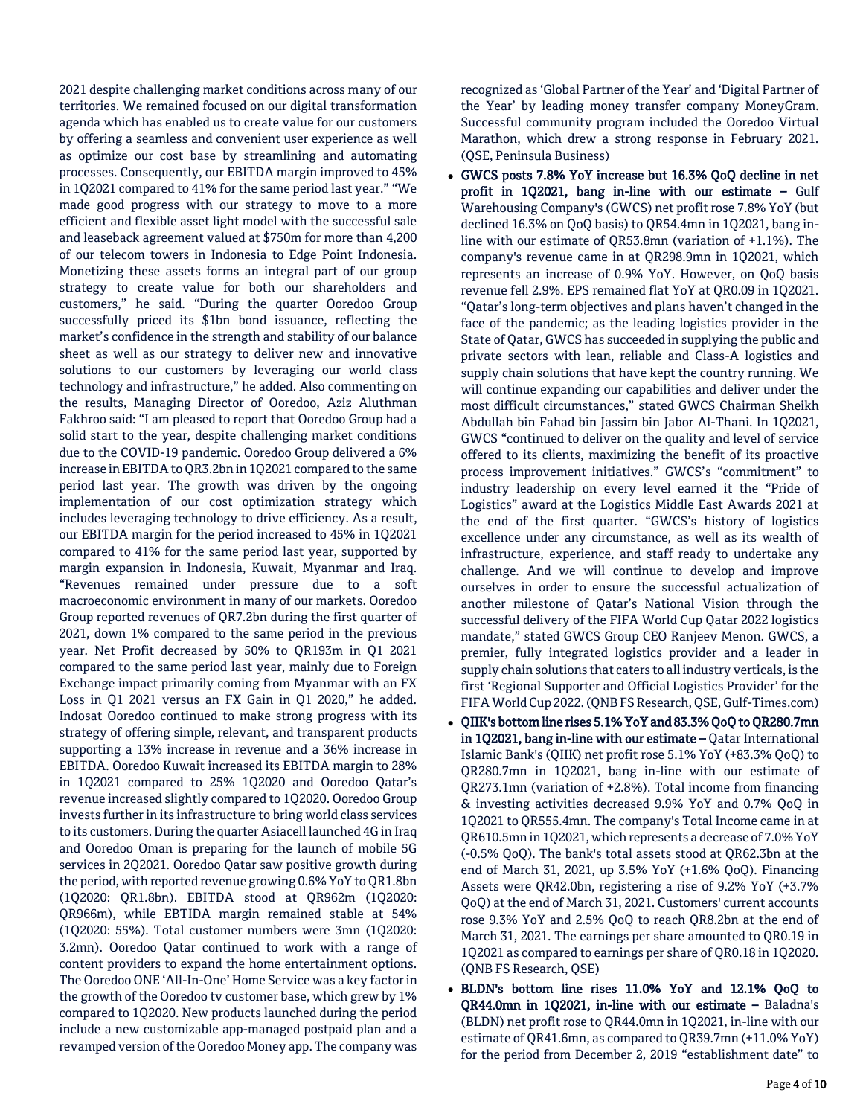2021 despite challenging market conditions across many of our territories. We remained focused on our digital transformation agenda which has enabled us to create value for our customers by offering a seamless and convenient user experience as well as optimize our cost base by streamlining and automating processes. Consequently, our EBITDA margin improved to 45% in 1Q2021 compared to 41% for the same period last year." "We made good progress with our strategy to move to a more efficient and flexible asset light model with the successful sale and leaseback agreement valued at \$750m for more than 4,200 of our telecom towers in Indonesia to Edge Point Indonesia. Monetizing these assets forms an integral part of our group strategy to create value for both our shareholders and customers," he said. "During the quarter Ooredoo Group successfully priced its \$1bn bond issuance, reflecting the market's confidence in the strength and stability of our balance sheet as well as our strategy to deliver new and innovative solutions to our customers by leveraging our world class technology and infrastructure," he added. Also commenting on the results, Managing Director of Ooredoo, Aziz Aluthman Fakhroo said: "I am pleased to report that Ooredoo Group had a solid start to the year, despite challenging market conditions due to the COVID-19 pandemic. Ooredoo Group delivered a 6% increase in EBITDA to QR3.2bn in 1Q2021 compared to the same period last year. The growth was driven by the ongoing implementation of our cost optimization strategy which includes leveraging technology to drive efficiency. As a result, our EBITDA margin for the period increased to 45% in 1Q2021 compared to 41% for the same period last year, supported by margin expansion in Indonesia, Kuwait, Myanmar and Iraq. "Revenues remained under pressure due to a soft macroeconomic environment in many of our markets. Ooredoo Group reported revenues of QR7.2bn during the first quarter of 2021, down 1% compared to the same period in the previous year. Net Profit decreased by 50% to QR193m in Q1 2021 compared to the same period last year, mainly due to Foreign Exchange impact primarily coming from Myanmar with an FX Loss in Q1 2021 versus an FX Gain in Q1 2020," he added. Indosat Ooredoo continued to make strong progress with its strategy of offering simple, relevant, and transparent products supporting a 13% increase in revenue and a 36% increase in EBITDA. Ooredoo Kuwait increased its EBITDA margin to 28% in 1Q2021 compared to 25% 1Q2020 and Ooredoo Qatar's revenue increased slightly compared to 1Q2020. Ooredoo Group invests further in its infrastructure to bring world class services to its customers. During the quarter Asiacell launched 4G in Iraq and Ooredoo Oman is preparing for the launch of mobile 5G services in 2Q2021. Ooredoo Qatar saw positive growth during the period, with reported revenue growing 0.6% YoY to QR1.8bn (1Q2020: QR1.8bn). EBITDA stood at QR962m (1Q2020: QR966m), while EBTIDA margin remained stable at 54% (1Q2020: 55%). Total customer numbers were 3mn (1Q2020: 3.2mn). Ooredoo Qatar continued to work with a range of content providers to expand the home entertainment options. The Ooredoo ONE 'All-In-One' Home Service was a key factor in the growth of the Ooredoo tv customer base, which grew by 1% compared to 1Q2020. New products launched during the period include a new customizable app-managed postpaid plan and a revamped version of the Ooredoo Money app. The company was recognized as 'Global Partner of the Year' and 'Digital Partner of the Year' by leading money transfer company MoneyGram. Successful community program included the Ooredoo Virtual Marathon, which drew a strong response in February 2021. (QSE, Peninsula Business)

- GWCS posts 7.8% YoY increase but 16.3% QoQ decline in net profit in 1Q2021, bang in-line with our estimate – Gulf Warehousing Company's (GWCS) net profit rose 7.8% YoY (but declined 16.3% on QoQ basis) to QR54.4mn in 1Q2021, bang inline with our estimate of QR53.8mn (variation of +1.1%). The company's revenue came in at QR298.9mn in 1Q2021, which represents an increase of 0.9% YoY. However, on QoQ basis revenue fell 2.9%. EPS remained flat YoY at QR0.09 in 1Q2021. "Qatar's long-term objectives and plans haven't changed in the face of the pandemic; as the leading logistics provider in the State of Qatar, GWCS has succeeded in supplying the public and private sectors with lean, reliable and Class-A logistics and supply chain solutions that have kept the country running. We will continue expanding our capabilities and deliver under the most difficult circumstances," stated GWCS Chairman Sheikh Abdullah bin Fahad bin Jassim bin Jabor Al-Thani. In 1Q2021, GWCS "continued to deliver on the quality and level of service offered to its clients, maximizing the benefit of its proactive process improvement initiatives." GWCS's "commitment" to industry leadership on every level earned it the "Pride of Logistics" award at the Logistics Middle East Awards 2021 at the end of the first quarter. "GWCS's history of logistics excellence under any circumstance, as well as its wealth of infrastructure, experience, and staff ready to undertake any challenge. And we will continue to develop and improve ourselves in order to ensure the successful actualization of another milestone of Qatar's National Vision through the successful delivery of the FIFA World Cup Qatar 2022 logistics mandate," stated GWCS Group CEO Ranjeev Menon. GWCS, a premier, fully integrated logistics provider and a leader in supply chain solutions that caters to all industry verticals, is the first 'Regional Supporter and Official Logistics Provider' for the FIFA World Cup 2022. (QNB FS Research, QSE, Gulf-Times.com)
- QIIK's bottom line rises 5.1% YoY and 83.3% QoQ to QR280.7mn in 1Q2021, bang in-line with our estimate – Qatar International Islamic Bank's (QIIK) net profit rose 5.1% YoY (+83.3% QoQ) to QR280.7mn in 1Q2021, bang in-line with our estimate of QR273.1mn (variation of +2.8%). Total income from financing & investing activities decreased 9.9% YoY and 0.7% QoQ in 1Q2021 to QR555.4mn. The company's Total Income came in at QR610.5mn in 1Q2021, which represents a decrease of 7.0% YoY (-0.5% QoQ). The bank's total assets stood at QR62.3bn at the end of March 31, 2021, up 3.5% YoY (+1.6% QoQ). Financing Assets were QR42.0bn, registering a rise of 9.2% YoY (+3.7% QoQ) at the end of March 31, 2021. Customers' current accounts rose 9.3% YoY and 2.5% QoQ to reach QR8.2bn at the end of March 31, 2021. The earnings per share amounted to QR0.19 in 1Q2021 as compared to earnings per share of QR0.18 in 1Q2020. (QNB FS Research, QSE)
- BLDN's bottom line rises 11.0% YoY and 12.1% QoQ to QR44.0mn in 1Q2021, in-line with our estimate – Baladna's (BLDN) net profit rose to QR44.0mn in 1Q2021, in-line with our estimate of QR41.6mn, as compared to QR39.7mn (+11.0% YoY) for the period from December 2, 2019 "establishment date" to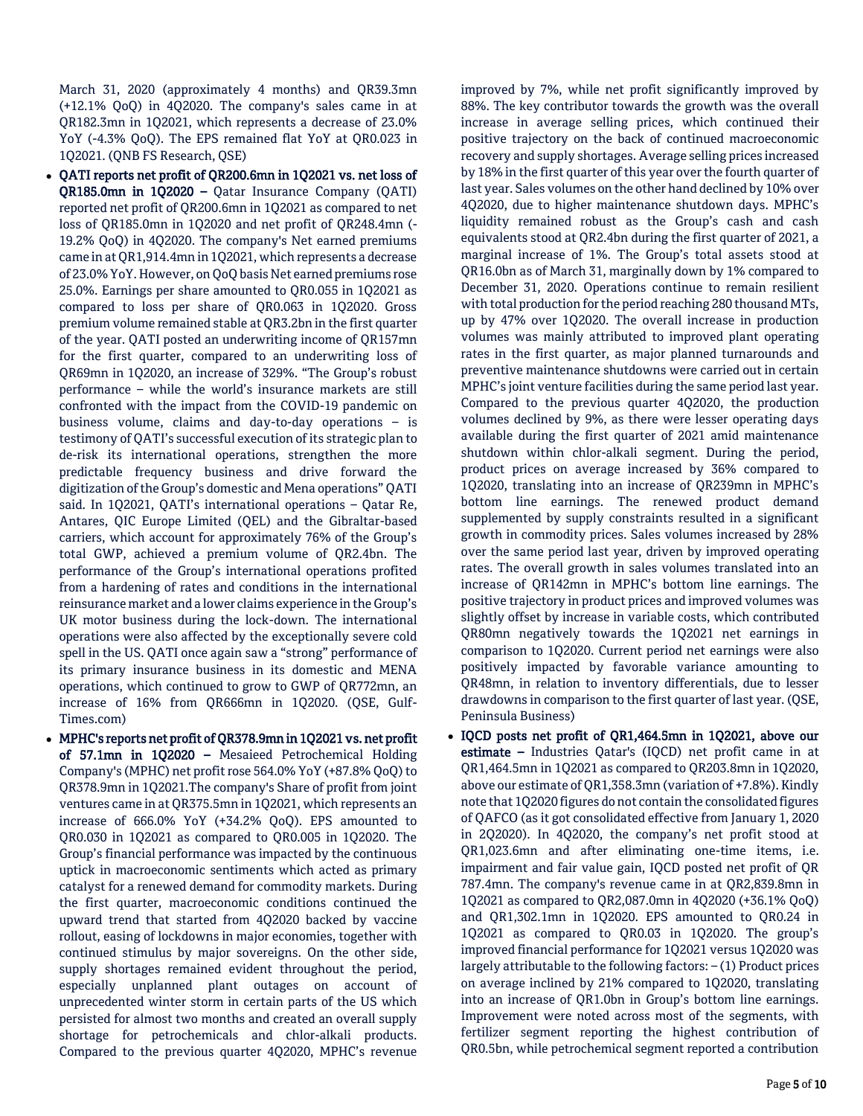March 31, 2020 (approximately 4 months) and QR39.3mn (+12.1% QoQ) in 4Q2020. The company's sales came in at QR182.3mn in 1Q2021, which represents a decrease of 23.0% YoY (-4.3% QoQ). The EPS remained flat YoY at QR0.023 in 1Q2021. (QNB FS Research, QSE)

- QATI reports net profit of QR200.6mn in 1Q2021 vs. net loss of QR185.0mn in 1Q2020 – Qatar Insurance Company (QATI) reported net profit of QR200.6mn in 1Q2021 as compared to net loss of QR185.0mn in 1Q2020 and net profit of QR248.4mn (- 19.2% QoQ) in 4Q2020. The company's Net earned premiums came in at QR1,914.4mn in 1Q2021, which represents a decrease of 23.0% YoY. However, on QoQ basis Net earned premiums rose 25.0%. Earnings per share amounted to QR0.055 in 1Q2021 as compared to loss per share of QR0.063 in 1Q2020. Gross premium volume remained stable at QR3.2bn in the first quarter of the year. QATI posted an underwriting income of QR157mn for the first quarter, compared to an underwriting loss of QR69mn in 1Q2020, an increase of 329%. "The Group's robust performance – while the world's insurance markets are still confronted with the impact from the COVID-19 pandemic on business volume, claims and day-to-day operations – is testimony of QATI's successful execution of its strategic plan to de-risk its international operations, strengthen the more predictable frequency business and drive forward the digitization of the Group's domestic and Mena operations" QATI said. In 1Q2021, QATI's international operations – Qatar Re, Antares, QIC Europe Limited (QEL) and the Gibraltar-based carriers, which account for approximately 76% of the Group's total GWP, achieved a premium volume of QR2.4bn. The performance of the Group's international operations profited from a hardening of rates and conditions in the international reinsurance market and a lower claims experience in the Group's UK motor business during the lock-down. The international operations were also affected by the exceptionally severe cold spell in the US. QATI once again saw a "strong" performance of its primary insurance business in its domestic and MENA operations, which continued to grow to GWP of QR772mn, an increase of 16% from QR666mn in 1Q2020. (QSE, Gulf-Times.com)
- MPHC's reports net profit of QR378.9mn in 1Q2021 vs. net profit of 57.1mn in 1Q2020 – Mesaieed Petrochemical Holding Company's (MPHC) net profit rose 564.0% YoY (+87.8% QoQ) to QR378.9mn in 1Q2021.The company's Share of profit from joint ventures came in at QR375.5mn in 1Q2021, which represents an increase of 666.0% YoY (+34.2% QoQ). EPS amounted to QR0.030 in 1Q2021 as compared to QR0.005 in 1Q2020. The Group's financial performance was impacted by the continuous uptick in macroeconomic sentiments which acted as primary catalyst for a renewed demand for commodity markets. During the first quarter, macroeconomic conditions continued the upward trend that started from 4Q2020 backed by vaccine rollout, easing of lockdowns in major economies, together with continued stimulus by major sovereigns. On the other side, supply shortages remained evident throughout the period, especially unplanned plant outages on account of unprecedented winter storm in certain parts of the US which persisted for almost two months and created an overall supply shortage for petrochemicals and chlor-alkali products. Compared to the previous quarter 4Q2020, MPHC's revenue

improved by 7%, while net profit significantly improved by 88%. The key contributor towards the growth was the overall increase in average selling prices, which continued their positive trajectory on the back of continued macroeconomic recovery and supply shortages. Average selling prices increased by 18% in the first quarter of this year over the fourth quarter of last year. Sales volumes on the other hand declined by 10% over 4Q2020, due to higher maintenance shutdown days. MPHC's liquidity remained robust as the Group's cash and cash equivalents stood at QR2.4bn during the first quarter of 2021, a marginal increase of 1%. The Group's total assets stood at QR16.0bn as of March 31, marginally down by 1% compared to December 31, 2020. Operations continue to remain resilient with total production for the period reaching 280 thousand MTs, up by 47% over 1Q2020. The overall increase in production volumes was mainly attributed to improved plant operating rates in the first quarter, as major planned turnarounds and preventive maintenance shutdowns were carried out in certain MPHC's joint venture facilities during the same period last year. Compared to the previous quarter 4Q2020, the production volumes declined by 9%, as there were lesser operating days available during the first quarter of 2021 amid maintenance shutdown within chlor-alkali segment. During the period, product prices on average increased by 36% compared to 1Q2020, translating into an increase of QR239mn in MPHC's bottom line earnings. The renewed product demand supplemented by supply constraints resulted in a significant growth in commodity prices. Sales volumes increased by 28% over the same period last year, driven by improved operating rates. The overall growth in sales volumes translated into an increase of QR142mn in MPHC's bottom line earnings. The positive trajectory in product prices and improved volumes was slightly offset by increase in variable costs, which contributed QR80mn negatively towards the 1Q2021 net earnings in comparison to 1Q2020. Current period net earnings were also positively impacted by favorable variance amounting to QR48mn, in relation to inventory differentials, due to lesser drawdowns in comparison to the first quarter of last year. (QSE, Peninsula Business)

 IQCD posts net profit of QR1,464.5mn in 1Q2021, above our estimate – Industries Qatar's (IQCD) net profit came in at QR1,464.5mn in 1Q2021 as compared to QR203.8mn in 1Q2020, above our estimate of QR1,358.3mn (variation of +7.8%). Kindly note that 1Q2020 figures do not contain the consolidated figures of QAFCO (as it got consolidated effective from January 1, 2020 in 2Q2020). In 4Q2020, the company's net profit stood at QR1,023.6mn and after eliminating one-time items, i.e. impairment and fair value gain, IQCD posted net profit of QR 787.4mn. The company's revenue came in at QR2,839.8mn in 1Q2021 as compared to QR2,087.0mn in 4Q2020 (+36.1% QoQ) and QR1,302.1mn in 1Q2020. EPS amounted to QR0.24 in 1Q2021 as compared to QR0.03 in 1Q2020. The group's improved financial performance for 1Q2021 versus 1Q2020 was largely attributable to the following factors: – (1) Product prices on average inclined by 21% compared to 1Q2020, translating into an increase of QR1.0bn in Group's bottom line earnings. Improvement were noted across most of the segments, with fertilizer segment reporting the highest contribution of QR0.5bn, while petrochemical segment reported a contribution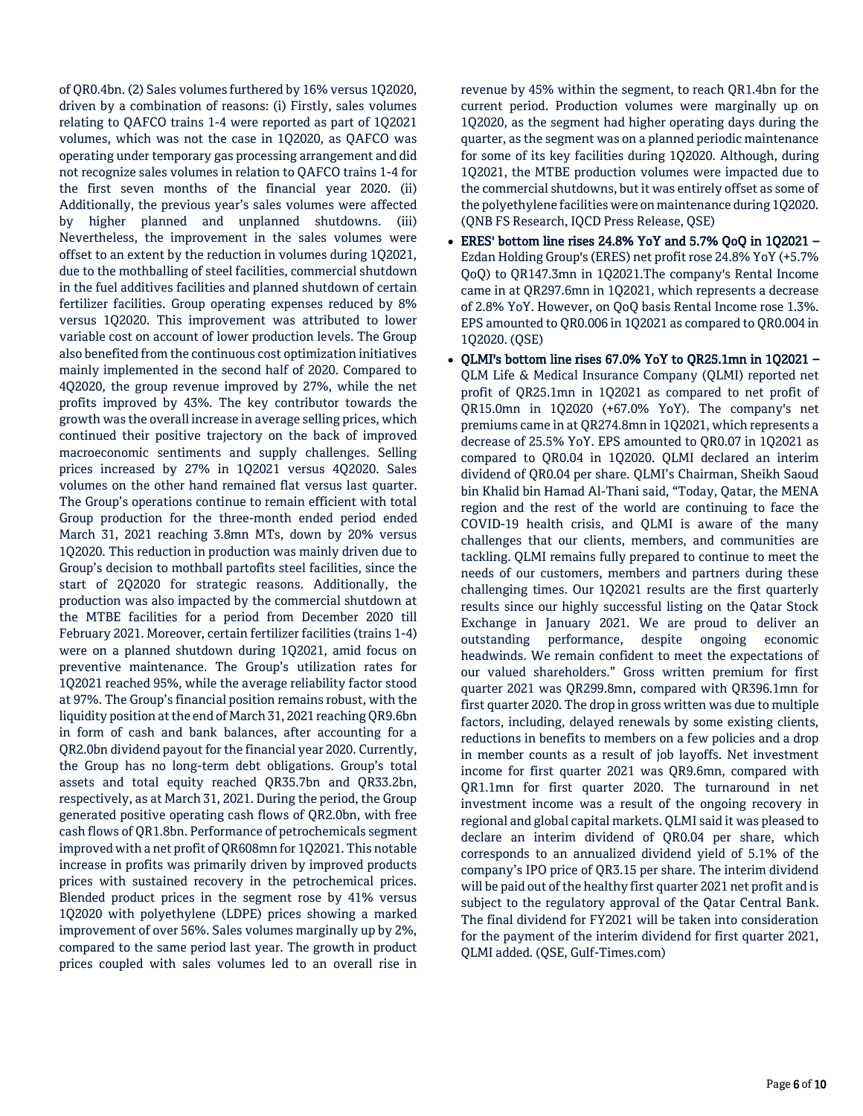of QR0.4bn. (2) Sales volumes furthered by 16% versus 1Q2020, driven by a combination of reasons: (i) Firstly, sales volumes relating to QAFCO trains 1-4 were reported as part of 1Q2021 volumes, which was not the case in 1Q2020, as QAFCO was operating under temporary gas processing arrangement and did not recognize sales volumes in relation to QAFCO trains 1-4 for the first seven months of the financial year 2020. (ii) Additionally, the previous year's sales volumes were affected by higher planned and unplanned shutdowns. (iii) Nevertheless, the improvement in the sales volumes were offset to an extent by the reduction in volumes during 1Q2021, due to the mothballing of steel facilities, commercial shutdown in the fuel additives facilities and planned shutdown of certain fertilizer facilities. Group operating expenses reduced by 8% versus 1Q2020. This improvement was attributed to lower variable cost on account of lower production levels. The Group also benefited from the continuous cost optimization initiatives mainly implemented in the second half of 2020. Compared to 4Q2020, the group revenue improved by 27%, while the net profits improved by 43%. The key contributor towards the growth was the overall increase in average selling prices, which continued their positive trajectory on the back of improved macroeconomic sentiments and supply challenges. Selling prices increased by 27% in 1Q2021 versus 4Q2020. Sales volumes on the other hand remained flat versus last quarter. The Group's operations continue to remain efficient with total Group production for the three-month ended period ended March 31, 2021 reaching 3.8mn MTs, down by 20% versus 1Q2020. This reduction in production was mainly driven due to Group's decision to mothball partofits steel facilities, since the start of 2Q2020 for strategic reasons. Additionally, the production was also impacted by the commercial shutdown at the MTBE facilities for a period from December 2020 till February 2021. Moreover, certain fertilizer facilities (trains 1-4) were on a planned shutdown during 1Q2021, amid focus on preventive maintenance. The Group's utilization rates for 1Q2021 reached 95%, while the average reliability factor stood at 97%. The Group's financial position remains robust, with the liquidity position at the end of March 31, 2021 reaching QR9.6bn in form of cash and bank balances, after accounting for a QR2.0bn dividend payout for the financial year 2020. Currently, the Group has no long-term debt obligations. Group's total assets and total equity reached QR35.7bn and QR33.2bn, respectively, as at March 31, 2021. During the period, the Group generated positive operating cash flows of QR2.0bn, with free cash flows of QR1.8bn. Performance of petrochemicals segment improved with a net profit of QR608mn for 1Q2021. This notable increase in profits was primarily driven by improved products prices with sustained recovery in the petrochemical prices. Blended product prices in the segment rose by 41% versus 1Q2020 with polyethylene (LDPE) prices showing a marked improvement of over 56%. Sales volumes marginally up by 2%, compared to the same period last year. The growth in product prices coupled with sales volumes led to an overall rise in

revenue by 45% within the segment, to reach QR1.4bn for the current period. Production volumes were marginally up on 1Q2020, as the segment had higher operating days during the quarter, as the segment was on a planned periodic maintenance for some of its key facilities during 1Q2020. Although, during 1Q2021, the MTBE production volumes were impacted due to the commercial shutdowns, but it was entirely offset as some of the polyethylene facilities were on maintenance during 1Q2020. (QNB FS Research, IQCD Press Release, QSE)

- ERES' bottom line rises 24.8% YoY and 5.7% QoQ in 1Q2021 Ezdan Holding Group's (ERES) net profit rose 24.8% YoY (+5.7% QoQ) to QR147.3mn in 1Q2021.The company's Rental Income came in at QR297.6mn in 1Q2021, which represents a decrease of 2.8% YoY. However, on QoQ basis Rental Income rose 1.3%. EPS amounted to QR0.006 in 1Q2021 as compared to QR0.004 in 1Q2020. (QSE)
- QLMI's bottom line rises 67.0% YoY to QR25.1mn in 1Q2021 QLM Life & Medical Insurance Company (QLMI) reported net profit of QR25.1mn in 1Q2021 as compared to net profit of QR15.0mn in 1Q2020 (+67.0% YoY). The company's net premiums came in at QR274.8mn in 1Q2021, which represents a decrease of 25.5% YoY. EPS amounted to QR0.07 in 1Q2021 as compared to QR0.04 in 1Q2020. QLMI declared an interim dividend of QR0.04 per share. QLMI's Chairman, Sheikh Saoud bin Khalid bin Hamad Al-Thani said, "Today, Qatar, the MENA region and the rest of the world are continuing to face the COVID-19 health crisis, and QLMI is aware of the many challenges that our clients, members, and communities are tackling. QLMI remains fully prepared to continue to meet the needs of our customers, members and partners during these challenging times. Our 1Q2021 results are the first quarterly results since our highly successful listing on the Qatar Stock Exchange in January 2021. We are proud to deliver an outstanding performance, despite ongoing economic headwinds. We remain confident to meet the expectations of our valued shareholders." Gross written premium for first quarter 2021 was QR299.8mn, compared with QR396.1mn for first quarter 2020. The drop in gross written was due to multiple factors, including, delayed renewals by some existing clients, reductions in benefits to members on a few policies and a drop in member counts as a result of job layoffs. Net investment income for first quarter 2021 was QR9.6mn, compared with QR1.1mn for first quarter 2020. The turnaround in net investment income was a result of the ongoing recovery in regional and global capital markets. QLMI said it was pleased to declare an interim dividend of QR0.04 per share, which corresponds to an annualized dividend yield of 5.1% of the company's IPO price of QR3.15 per share. The interim dividend will be paid out of the healthy first quarter 2021 net profit and is subject to the regulatory approval of the Qatar Central Bank. The final dividend for FY2021 will be taken into consideration for the payment of the interim dividend for first quarter 2021, QLMI added. (QSE, Gulf-Times.com)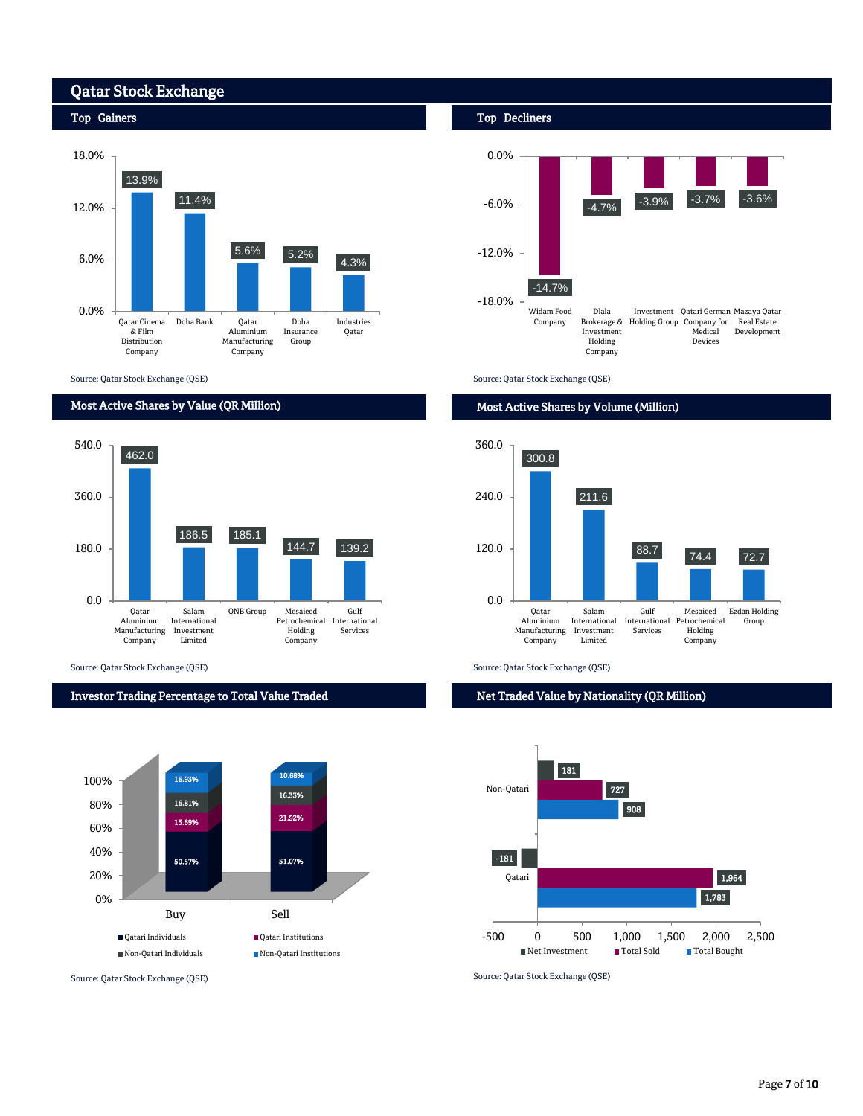## Qatar Stock Exchange

Top Gainers

#### 13.9% 11.4% 5.6% 5.2% 4.3% 0.0% 6.0% 12.0% 18.0% Qatar Cinema Doha Bank Qatar & Film Distribution Company Aluminium Manufacturing Company Doha Insurance Group Industries Qatar

Source: Qatar Stock Exchange (QSE)

### Most Active Shares by Value (QR Million)



Source: Qatar Stock Exchange (QSE) Source: Qatar Stock Exchange (QSE)

#### Investor Trading Percentage to Total Value Traded



#### Top Decliners



Source: Qatar Stock Exchange (QSE)

#### Most Active Shares by Volume (Million)



Net Traded Value by Nationality (QR Million)



Source: Qatar Stock Exchange (QSE) Source: Qatar Stock Exchange (QSE)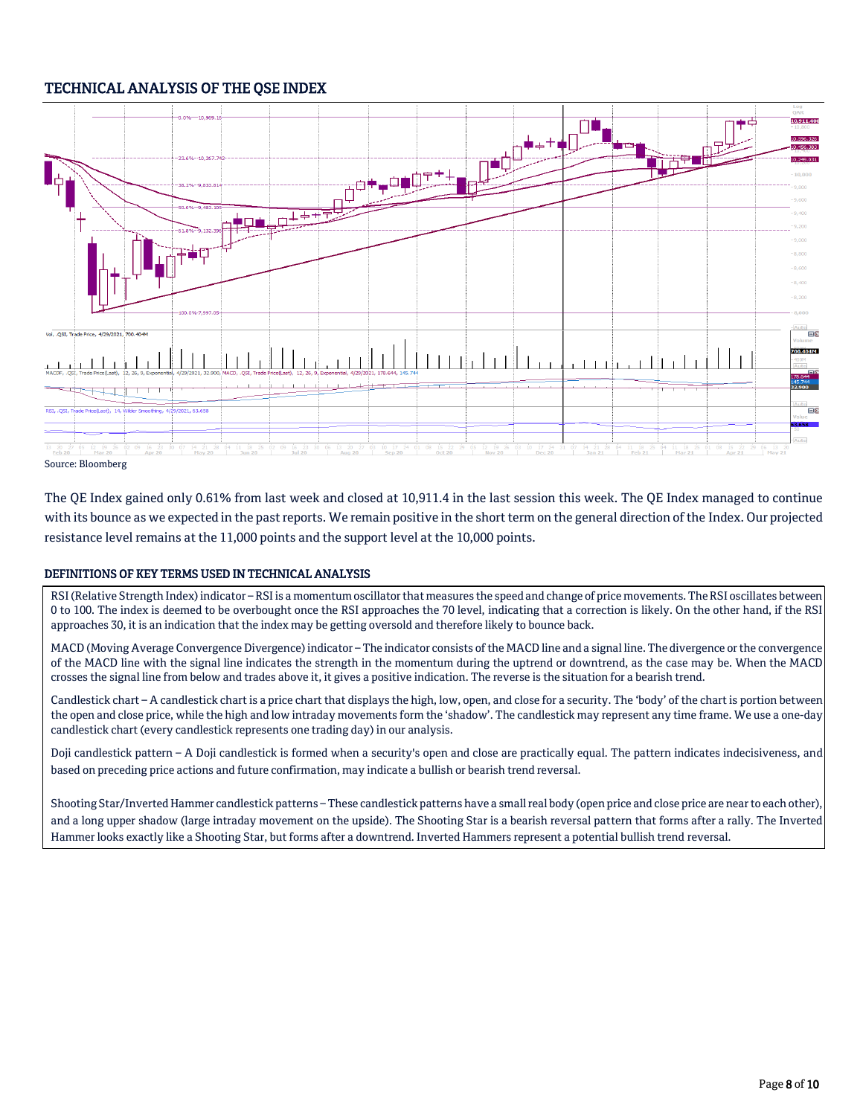## TECHNICAL ANALYSIS OF THE QSE INDEX



Source: Bloomberg

The QE Index gained only 0.61% from last week and closed at 10,911.4 in the last session this week. The QE Index managed to continue with its bounce as we expected in the past reports. We remain positive in the short term on the general direction of the Index. Our projected resistance level remains at the 11,000 points and the support level at the 10,000 points.

#### DEFINITIONS OF KEY TERMS USED IN TECHNICAL ANALYSIS

RSI (Relative Strength Index) indicator – RSI is a momentum oscillator that measures the speed and change of price movements. The RSI oscillates between 0 to 100. The index is deemed to be overbought once the RSI approaches the 70 level, indicating that a correction is likely. On the other hand, if the RSI approaches 30, it is an indication that the index may be getting oversold and therefore likely to bounce back.

MACD (Moving Average Convergence Divergence) indicator – The indicator consists of the MACD line and a signal line. The divergence or the convergence of the MACD line with the signal line indicates the strength in the momentum during the uptrend or downtrend, as the case may be. When the MACD crosses the signal line from below and trades above it, it gives a positive indication. The reverse is the situation for a bearish trend.

Candlestick chart – A candlestick chart is a price chart that displays the high, low, open, and close for a security. The 'body' of the chart is portion between the open and close price, while the high and low intraday movements form the 'shadow'. The candlestick may represent any time frame. We use a one-day candlestick chart (every candlestick represents one trading day) in our analysis.

Doji candlestick pattern – A Doji candlestick is formed when a security's open and close are practically equal. The pattern indicates indecisiveness, and based on preceding price actions and future confirmation, may indicate a bullish or bearish trend reversal.

Shooting Star/Inverted Hammer candlestick patterns – These candlestick patterns have a small real body (open price and close price are near to each other), and a long upper shadow (large intraday movement on the upside). The Shooting Star is a bearish reversal pattern that forms after a rally. The Inverted Hammer looks exactly like a Shooting Star, but forms after a downtrend. Inverted Hammers represent a potential bullish trend reversal.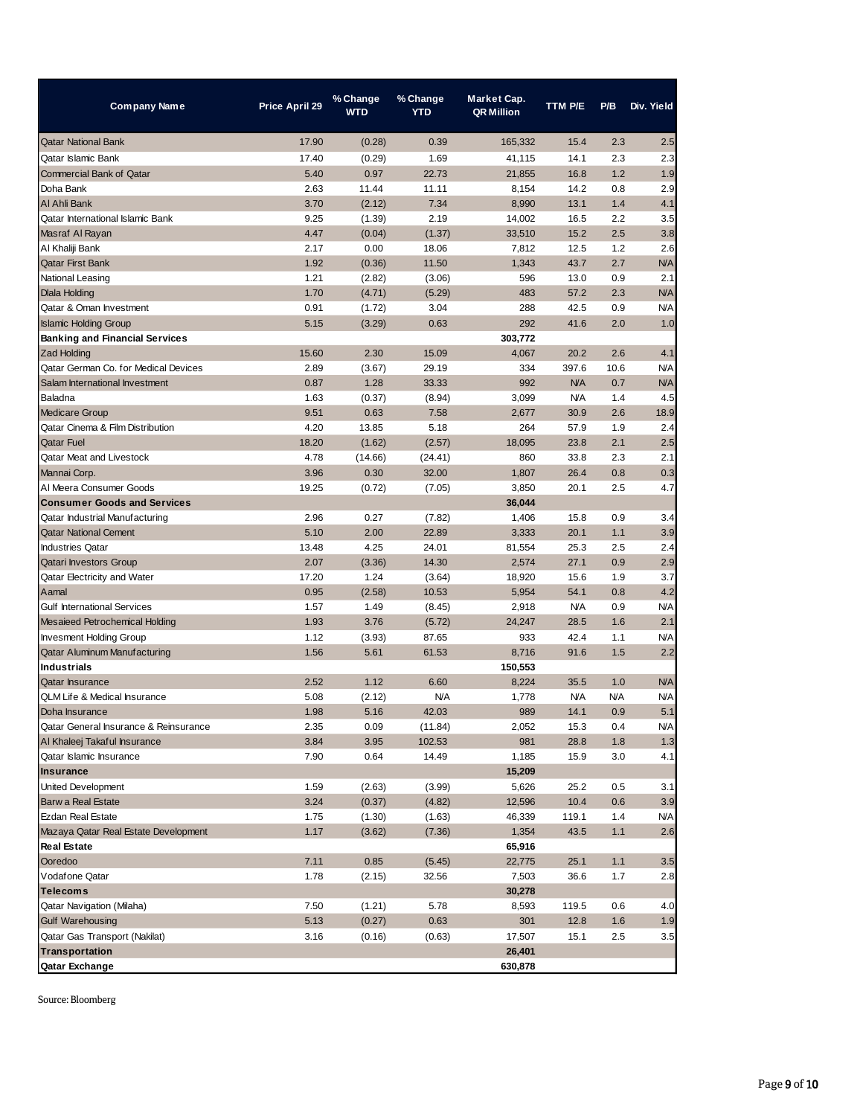| Company Name                          | Price April 29 | % Change<br><b>WTD</b> | % Change<br><b>YTD</b> | Market Cap.<br><b>QR Million</b> | <b>TTM P/E</b> | P/B        | Div. Yield |
|---------------------------------------|----------------|------------------------|------------------------|----------------------------------|----------------|------------|------------|
| <b>Qatar National Bank</b>            | 17.90          | (0.28)                 | 0.39                   | 165,332                          | 15.4           | 2.3        | 2.5        |
| Qatar Islamic Bank                    | 17.40          | (0.29)                 | 1.69                   | 41,115                           | 14.1           | 2.3        | 2.3        |
| Commercial Bank of Oatar              | 5.40           | 0.97                   | 22.73                  | 21.855                           | 16.8           | 1.2        | 1.9        |
| Doha Bank                             | 2.63           | 11.44                  | 11.11                  | 8,154                            | 14.2           | 0.8        | 2.9        |
| AI Ahli Bank                          | 3.70           | (2.12)                 | 7.34                   | 8,990                            | 13.1           | 1.4        | 4.1        |
| Qatar International Islamic Bank      | 9.25           | (1.39)                 | 2.19                   | 14,002                           | 16.5           | 2.2        | 3.5        |
| Masraf Al Rayan                       | 4.47           | (0.04)                 | (1.37)                 | 33,510                           | 15.2           | 2.5        | 3.8        |
| Al Khaliji Bank                       | 2.17           | 0.00                   | 18.06                  | 7,812                            | 12.5           | 1.2        | 2.6        |
| <b>Qatar First Bank</b>               | 1.92           | (0.36)                 | 11.50                  | 1,343                            | 43.7           | 2.7        | <b>N/A</b> |
| National Leasing                      | 1.21           | (2.82)                 | (3.06)                 | 596                              | 13.0           | 0.9        | 2.1        |
| <b>Dlala Holding</b>                  | 1.70           | (4.71)                 | (5.29)                 | 483                              | 57.2           | 2.3        | <b>N/A</b> |
| Qatar & Oman Investment               | 0.91           | (1.72)                 | 3.04                   | 288                              | 42.5           | 0.9        | <b>N/A</b> |
| <b>Islamic Holding Group</b>          | 5.15           | (3.29)                 | 0.63                   | 292                              | 41.6           | 2.0        | 1.0        |
| <b>Banking and Financial Services</b> |                |                        |                        | 303,772                          |                |            |            |
| <b>Zad Holding</b>                    | 15.60          | 2.30                   | 15.09                  | 4,067                            | 20.2           | 2.6        | 4.1        |
| Qatar German Co. for Medical Devices  | 2.89           | (3.67)                 | 29.19                  | 334                              | 397.6          | 10.6       | <b>N/A</b> |
| Salam International Investment        | 0.87           | 1.28                   | 33.33                  | 992                              | <b>N/A</b>     | 0.7        | <b>N/A</b> |
| Baladna                               | 1.63           | (0.37)                 | (8.94)                 | 3,099                            | <b>N/A</b>     | 1.4        | 4.5        |
| <b>Medicare Group</b>                 | 9.51           | 0.63                   | 7.58                   | 2,677                            | 30.9           | 2.6        | 18.9       |
| Qatar Cinema & Film Distribution      | 4.20           | 13.85                  | 5.18                   | 264                              | 57.9           | 1.9        | 2.4        |
| <b>Qatar Fuel</b>                     | 18.20          | (1.62)                 | (2.57)                 | 18,095                           | 23.8           | 2.1        | 2.5        |
| Qatar Meat and Livestock              | 4.78           | (14.66)                | (24.41)                | 860                              | 33.8           | 2.3        | 2.1        |
| Mannai Corp.                          | 3.96           | 0.30                   | 32.00                  | 1,807                            | 26.4           | 0.8        | 0.3        |
| Al Meera Consumer Goods               | 19.25          | (0.72)                 | (7.05)                 | 3,850                            | 20.1           | 2.5        | 4.7        |
| <b>Consumer Goods and Services</b>    |                |                        |                        | 36,044                           |                |            |            |
| Qatar Industrial Manufacturing        | 2.96           | 0.27                   | (7.82)                 | 1,406                            | 15.8           | 0.9        | 3.4        |
| <b>Qatar National Cement</b>          | 5.10           | 2.00                   | 22.89                  | 3,333                            | 20.1           | 1.1        | 3.9        |
| <b>Industries Qatar</b>               | 13.48          | 4.25                   | 24.01                  | 81,554                           | 25.3           | 2.5        | 2.4        |
| <b>Qatari Investors Group</b>         | 2.07           | (3.36)                 | 14.30                  | 2,574                            | 27.1           | 0.9        | 2.9        |
| Qatar Electricity and Water           | 17.20          | 1.24                   | (3.64)                 | 18,920                           | 15.6           | 1.9        | 3.7        |
| Aamal                                 | 0.95           | (2.58)                 | 10.53                  | 5,954                            | 54.1           | 0.8        | 4.2        |
| <b>Gulf International Services</b>    | 1.57           | 1.49                   | (8.45)                 | 2,918                            | <b>N/A</b>     | 0.9        | <b>N/A</b> |
| Mesaieed Petrochemical Holding        | 1.93           | 3.76                   | (5.72)                 | 24,247                           | 28.5           | 1.6        | 2.1        |
| <b>Invesment Holding Group</b>        | 1.12           | (3.93)                 | 87.65                  | 933                              | 42.4           | 1.1        | <b>N/A</b> |
| Qatar Aluminum Manufacturing          | 1.56           | 5.61                   | 61.53                  | 8,716                            | 91.6           | 1.5        | 2.2        |
| <b>Industrials</b>                    |                |                        |                        | 150,553                          |                |            |            |
| <b>Qatar Insurance</b>                | 2.52           | 1.12                   | 6.60                   | 8,224                            | 35.5           | 1.0        | <b>N/A</b> |
| QLM Life & Medical Insurance          | 5.08           | (2.12)                 | <b>N/A</b>             | 1,778                            | <b>N/A</b>     | <b>N/A</b> | <b>N/A</b> |
| Doha Insurance                        | 1.98           | 5.16                   | 42.03                  | 989                              | 14.1           | 0.9        | 5.1        |
| Qatar General Insurance & Reinsurance | 2.35           | 0.09                   | (11.84)                | 2,052                            | 15.3           | 0.4        | <b>N/A</b> |
| Al Khaleej Takaful Insurance          | 3.84           | 3.95                   | 102.53                 | 981                              | 28.8           | 1.8        | 1.3        |
| Qatar Islamic Insurance               | 7.90           | 0.64                   | 14.49                  | 1,185                            | 15.9           | 3.0        | 4.1        |
| <b>Insurance</b>                      |                |                        |                        | 15,209                           |                |            |            |
| United Development                    | 1.59           | (2.63)                 | (3.99)                 | 5,626                            | 25.2           | 0.5        | 3.1        |
| Barw a Real Estate                    | 3.24           | (0.37)                 | (4.82)                 | 12,596                           | 10.4           | 0.6        | 3.9        |
| Ezdan Real Estate                     | 1.75           | (1.30)                 | (1.63)                 | 46,339                           | 119.1          | 1.4        | <b>N/A</b> |
| Mazaya Qatar Real Estate Development  | 1.17           | (3.62)                 | (7.36)                 | 1,354                            | 43.5           | 1.1        | 2.6        |
| <b>Real Estate</b>                    |                |                        |                        | 65,916                           |                |            |            |
| Ooredoo                               | 7.11           | 0.85                   | (5.45)                 | 22,775                           | 25.1           | 1.1        | 3.5        |
| Vodafone Qatar                        | 1.78           | (2.15)                 | 32.56                  | 7,503                            | 36.6           | 1.7        | 2.8        |
| <b>Telecoms</b>                       |                |                        |                        | 30,278                           |                |            |            |
| Qatar Navigation (Milaha)             | 7.50           | (1.21)                 | 5.78                   | 8,593                            | 119.5          | 0.6        | 4.0        |
| <b>Gulf Warehousing</b>               | 5.13           | (0.27)                 | 0.63                   | 301                              | 12.8           | 1.6        | 1.9        |
| Qatar Gas Transport (Nakilat)         | 3.16           | (0.16)                 | (0.63)                 | 17,507                           | 15.1           | 2.5        | 3.5        |
| <b>Transportation</b>                 |                |                        |                        | 26,401                           |                |            |            |
| Qatar Exchange                        |                |                        |                        | 630,878                          |                |            |            |

Source: Bloomberg